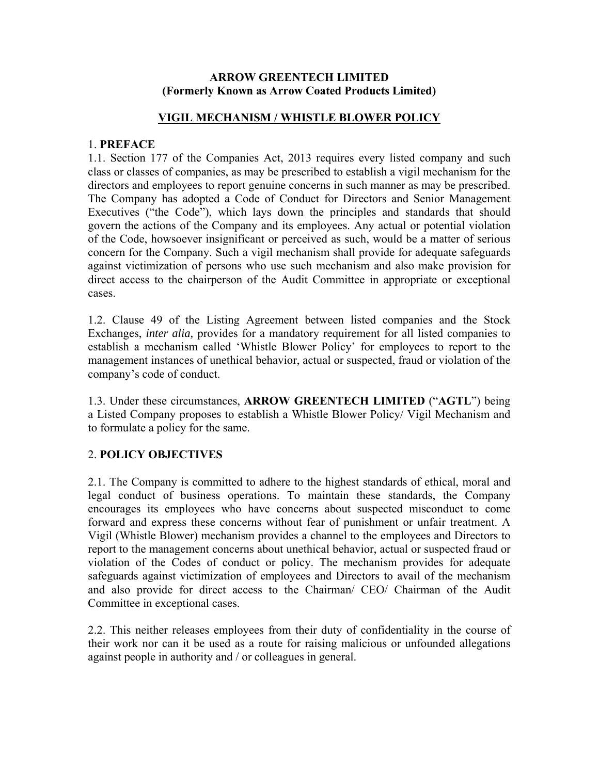#### **ARROW GREENTECH LIMITED (Formerly Known as Arrow Coated Products Limited)**

#### **VIGIL MECHANISM / WHISTLE BLOWER POLICY**

#### 1. **PREFACE**

1.1. Section 177 of the Companies Act, 2013 requires every listed company and such class or classes of companies, as may be prescribed to establish a vigil mechanism for the directors and employees to report genuine concerns in such manner as may be prescribed. The Company has adopted a Code of Conduct for Directors and Senior Management Executives ("the Code"), which lays down the principles and standards that should govern the actions of the Company and its employees. Any actual or potential violation of the Code, howsoever insignificant or perceived as such, would be a matter of serious concern for the Company. Such a vigil mechanism shall provide for adequate safeguards against victimization of persons who use such mechanism and also make provision for direct access to the chairperson of the Audit Committee in appropriate or exceptional cases.

1.2. Clause 49 of the Listing Agreement between listed companies and the Stock Exchanges, *inter alia,* provides for a mandatory requirement for all listed companies to establish a mechanism called 'Whistle Blower Policy' for employees to report to the management instances of unethical behavior, actual or suspected, fraud or violation of the company's code of conduct.

1.3. Under these circumstances, **ARROW GREENTECH LIMITED** ("**AGTL**") being a Listed Company proposes to establish a Whistle Blower Policy/ Vigil Mechanism and to formulate a policy for the same.

# 2. **POLICY OBJECTIVES**

2.1. The Company is committed to adhere to the highest standards of ethical, moral and legal conduct of business operations. To maintain these standards, the Company encourages its employees who have concerns about suspected misconduct to come forward and express these concerns without fear of punishment or unfair treatment. A Vigil (Whistle Blower) mechanism provides a channel to the employees and Directors to report to the management concerns about unethical behavior, actual or suspected fraud or violation of the Codes of conduct or policy. The mechanism provides for adequate safeguards against victimization of employees and Directors to avail of the mechanism and also provide for direct access to the Chairman/ CEO/ Chairman of the Audit Committee in exceptional cases.

2.2. This neither releases employees from their duty of confidentiality in the course of their work nor can it be used as a route for raising malicious or unfounded allegations against people in authority and / or colleagues in general.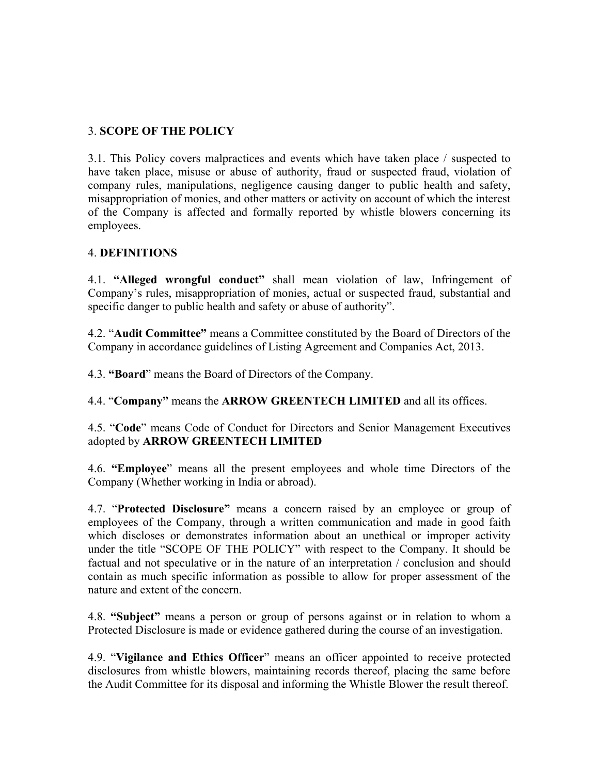# 3. **SCOPE OF THE POLICY**

3.1. This Policy covers malpractices and events which have taken place / suspected to have taken place, misuse or abuse of authority, fraud or suspected fraud, violation of company rules, manipulations, negligence causing danger to public health and safety, misappropriation of monies, and other matters or activity on account of which the interest of the Company is affected and formally reported by whistle blowers concerning its employees.

# 4. **DEFINITIONS**

4.1. **"Alleged wrongful conduct"** shall mean violation of law, Infringement of Company's rules, misappropriation of monies, actual or suspected fraud, substantial and specific danger to public health and safety or abuse of authority".

4.2. "**Audit Committee"** means a Committee constituted by the Board of Directors of the Company in accordance guidelines of Listing Agreement and Companies Act, 2013.

4.3. **"Board**" means the Board of Directors of the Company.

4.4. "**Company"** means the **ARROW GREENTECH LIMITED** and all its offices.

4.5. "**Code**" means Code of Conduct for Directors and Senior Management Executives adopted by **ARROW GREENTECH LIMITED** 

4.6. **"Employee**" means all the present employees and whole time Directors of the Company (Whether working in India or abroad).

4.7. "**Protected Disclosure"** means a concern raised by an employee or group of employees of the Company, through a written communication and made in good faith which discloses or demonstrates information about an unethical or improper activity under the title "SCOPE OF THE POLICY" with respect to the Company. It should be factual and not speculative or in the nature of an interpretation / conclusion and should contain as much specific information as possible to allow for proper assessment of the nature and extent of the concern.

4.8. **"Subject"** means a person or group of persons against or in relation to whom a Protected Disclosure is made or evidence gathered during the course of an investigation.

4.9. "**Vigilance and Ethics Officer**" means an officer appointed to receive protected disclosures from whistle blowers, maintaining records thereof, placing the same before the Audit Committee for its disposal and informing the Whistle Blower the result thereof.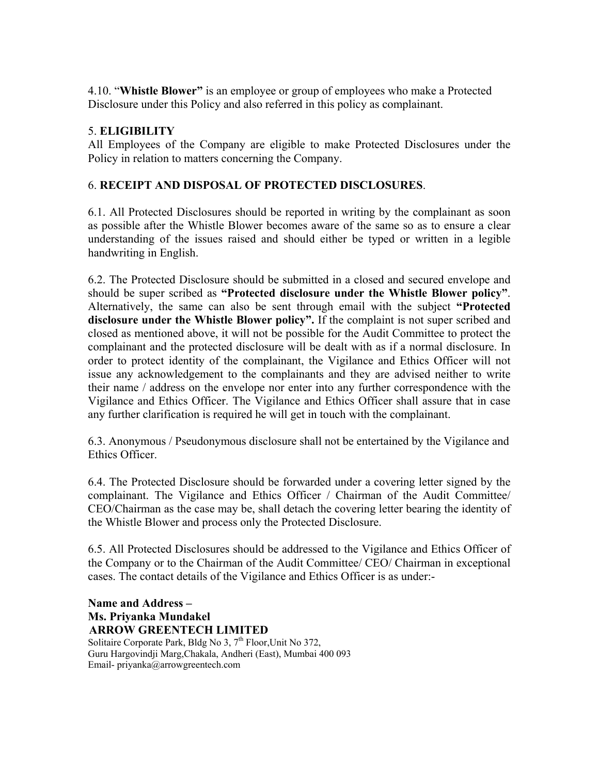4.10. "**Whistle Blower"** is an employee or group of employees who make a Protected Disclosure under this Policy and also referred in this policy as complainant.

# 5. **ELIGIBILITY**

All Employees of the Company are eligible to make Protected Disclosures under the Policy in relation to matters concerning the Company.

# 6. **RECEIPT AND DISPOSAL OF PROTECTED DISCLOSURES**.

6.1. All Protected Disclosures should be reported in writing by the complainant as soon as possible after the Whistle Blower becomes aware of the same so as to ensure a clear understanding of the issues raised and should either be typed or written in a legible handwriting in English.

6.2. The Protected Disclosure should be submitted in a closed and secured envelope and should be super scribed as **"Protected disclosure under the Whistle Blower policy"**. Alternatively, the same can also be sent through email with the subject **"Protected disclosure under the Whistle Blower policy".** If the complaint is not super scribed and closed as mentioned above, it will not be possible for the Audit Committee to protect the complainant and the protected disclosure will be dealt with as if a normal disclosure. In order to protect identity of the complainant, the Vigilance and Ethics Officer will not issue any acknowledgement to the complainants and they are advised neither to write their name / address on the envelope nor enter into any further correspondence with the Vigilance and Ethics Officer. The Vigilance and Ethics Officer shall assure that in case any further clarification is required he will get in touch with the complainant.

6.3. Anonymous / Pseudonymous disclosure shall not be entertained by the Vigilance and Ethics Officer.

6.4. The Protected Disclosure should be forwarded under a covering letter signed by the complainant. The Vigilance and Ethics Officer / Chairman of the Audit Committee/ CEO/Chairman as the case may be, shall detach the covering letter bearing the identity of the Whistle Blower and process only the Protected Disclosure.

6.5. All Protected Disclosures should be addressed to the Vigilance and Ethics Officer of the Company or to the Chairman of the Audit Committee/ CEO/ Chairman in exceptional cases. The contact details of the Vigilance and Ethics Officer is as under:-

**Name and Address – Ms. Priyanka Mundakel ARROW GREENTECH LIMITED**<br>Solitaire Corporate Park, Bldg No 3, 7<sup>th</sup> Floor,Unit No 372, Guru Hargovindji Marg,Chakala, Andheri (East), Mumbai 400 093 Email- priyanka@arrowgreentech.com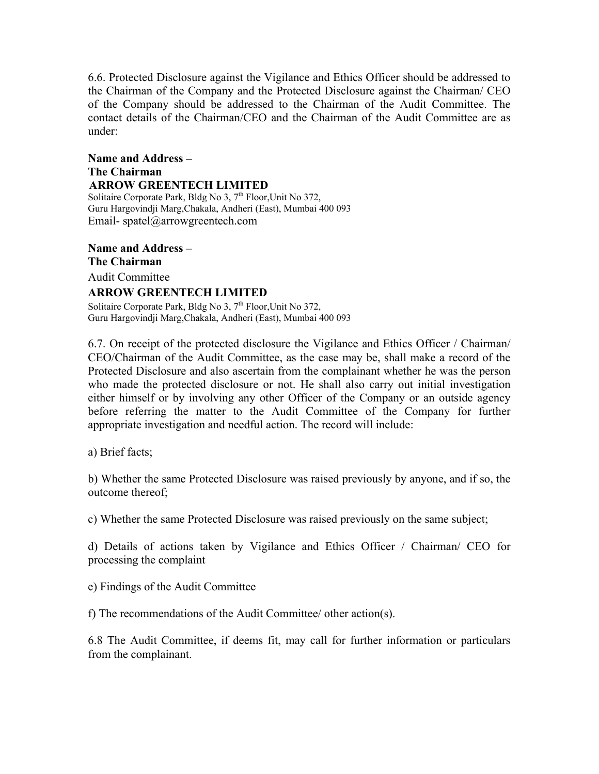6.6. Protected Disclosure against the Vigilance and Ethics Officer should be addressed to the Chairman of the Company and the Protected Disclosure against the Chairman/ CEO of the Company should be addressed to the Chairman of the Audit Committee. The contact details of the Chairman/CEO and the Chairman of the Audit Committee are as under:

**Name and Address – The Chairman ARROW GREENTECH LIMITED**<br>Solitaire Corporate Park, Bldg No 3, 7<sup>th</sup> Floor,Unit No 372, Guru Hargovindji Marg,Chakala, Andheri (East), Mumbai 400 093 Email- spatel@arrowgreentech.com

**Name and Address – The Chairman**  Audit Committee **ARROW GREENTECH LIMITED** Solitaire Corporate Park, Bldg No 3, 7<sup>th</sup> Floor, Unit No 372,

Guru Hargovindji Marg,Chakala, Andheri (East), Mumbai 400 093

6.7. On receipt of the protected disclosure the Vigilance and Ethics Officer / Chairman/ CEO/Chairman of the Audit Committee, as the case may be, shall make a record of the Protected Disclosure and also ascertain from the complainant whether he was the person who made the protected disclosure or not. He shall also carry out initial investigation either himself or by involving any other Officer of the Company or an outside agency before referring the matter to the Audit Committee of the Company for further appropriate investigation and needful action. The record will include:

a) Brief facts;

b) Whether the same Protected Disclosure was raised previously by anyone, and if so, the outcome thereof;

c) Whether the same Protected Disclosure was raised previously on the same subject;

d) Details of actions taken by Vigilance and Ethics Officer / Chairman/ CEO for processing the complaint

e) Findings of the Audit Committee

f) The recommendations of the Audit Committee/ other action(s).

6.8 The Audit Committee, if deems fit, may call for further information or particulars from the complainant.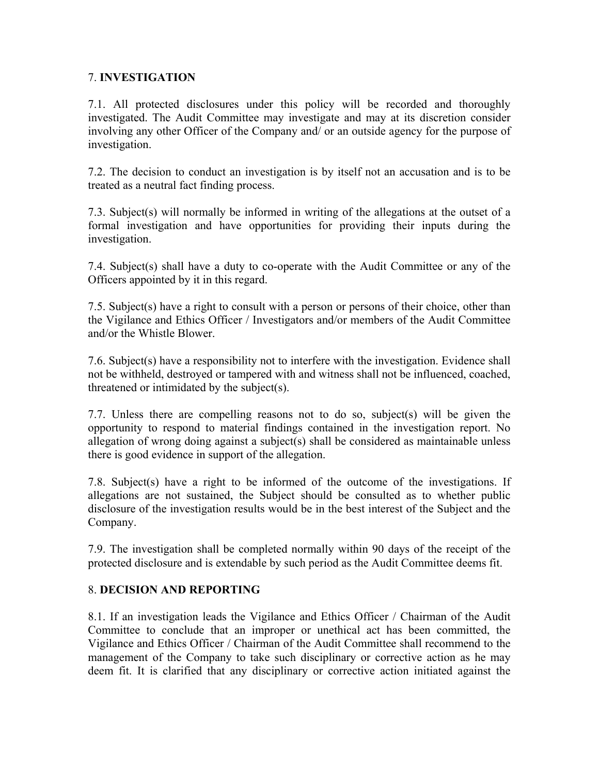#### 7. **INVESTIGATION**

7.1. All protected disclosures under this policy will be recorded and thoroughly investigated. The Audit Committee may investigate and may at its discretion consider involving any other Officer of the Company and/ or an outside agency for the purpose of investigation.

7.2. The decision to conduct an investigation is by itself not an accusation and is to be treated as a neutral fact finding process.

7.3. Subject(s) will normally be informed in writing of the allegations at the outset of a formal investigation and have opportunities for providing their inputs during the investigation.

7.4. Subject(s) shall have a duty to co-operate with the Audit Committee or any of the Officers appointed by it in this regard.

7.5. Subject(s) have a right to consult with a person or persons of their choice, other than the Vigilance and Ethics Officer / Investigators and/or members of the Audit Committee and/or the Whistle Blower.

7.6. Subject(s) have a responsibility not to interfere with the investigation. Evidence shall not be withheld, destroyed or tampered with and witness shall not be influenced, coached, threatened or intimidated by the subject(s).

7.7. Unless there are compelling reasons not to do so, subject(s) will be given the opportunity to respond to material findings contained in the investigation report. No allegation of wrong doing against a subject(s) shall be considered as maintainable unless there is good evidence in support of the allegation.

7.8. Subject(s) have a right to be informed of the outcome of the investigations. If allegations are not sustained, the Subject should be consulted as to whether public disclosure of the investigation results would be in the best interest of the Subject and the Company.

7.9. The investigation shall be completed normally within 90 days of the receipt of the protected disclosure and is extendable by such period as the Audit Committee deems fit.

# 8. **DECISION AND REPORTING**

8.1. If an investigation leads the Vigilance and Ethics Officer / Chairman of the Audit Committee to conclude that an improper or unethical act has been committed, the Vigilance and Ethics Officer / Chairman of the Audit Committee shall recommend to the management of the Company to take such disciplinary or corrective action as he may deem fit. It is clarified that any disciplinary or corrective action initiated against the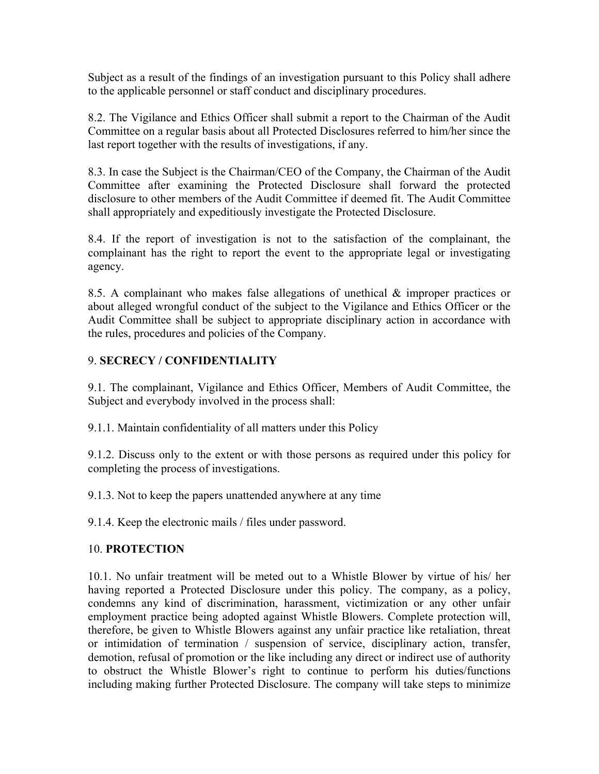Subject as a result of the findings of an investigation pursuant to this Policy shall adhere to the applicable personnel or staff conduct and disciplinary procedures.

8.2. The Vigilance and Ethics Officer shall submit a report to the Chairman of the Audit Committee on a regular basis about all Protected Disclosures referred to him/her since the last report together with the results of investigations, if any.

8.3. In case the Subject is the Chairman/CEO of the Company, the Chairman of the Audit Committee after examining the Protected Disclosure shall forward the protected disclosure to other members of the Audit Committee if deemed fit. The Audit Committee shall appropriately and expeditiously investigate the Protected Disclosure.

8.4. If the report of investigation is not to the satisfaction of the complainant, the complainant has the right to report the event to the appropriate legal or investigating agency.

8.5. A complainant who makes false allegations of unethical & improper practices or about alleged wrongful conduct of the subject to the Vigilance and Ethics Officer or the Audit Committee shall be subject to appropriate disciplinary action in accordance with the rules, procedures and policies of the Company.

# 9. **SECRECY / CONFIDENTIALITY**

9.1. The complainant, Vigilance and Ethics Officer, Members of Audit Committee, the Subject and everybody involved in the process shall:

9.1.1. Maintain confidentiality of all matters under this Policy

9.1.2. Discuss only to the extent or with those persons as required under this policy for completing the process of investigations.

9.1.3. Not to keep the papers unattended anywhere at any time

9.1.4. Keep the electronic mails / files under password.

# 10. **PROTECTION**

10.1. No unfair treatment will be meted out to a Whistle Blower by virtue of his/ her having reported a Protected Disclosure under this policy. The company, as a policy, condemns any kind of discrimination, harassment, victimization or any other unfair employment practice being adopted against Whistle Blowers. Complete protection will, therefore, be given to Whistle Blowers against any unfair practice like retaliation, threat or intimidation of termination / suspension of service, disciplinary action, transfer, demotion, refusal of promotion or the like including any direct or indirect use of authority to obstruct the Whistle Blower's right to continue to perform his duties/functions including making further Protected Disclosure. The company will take steps to minimize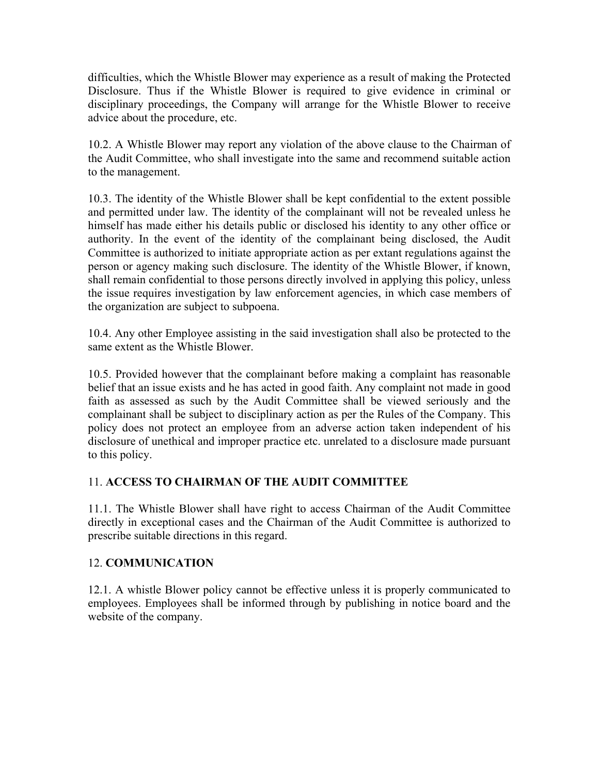difficulties, which the Whistle Blower may experience as a result of making the Protected Disclosure. Thus if the Whistle Blower is required to give evidence in criminal or disciplinary proceedings, the Company will arrange for the Whistle Blower to receive advice about the procedure, etc.

10.2. A Whistle Blower may report any violation of the above clause to the Chairman of the Audit Committee, who shall investigate into the same and recommend suitable action to the management.

10.3. The identity of the Whistle Blower shall be kept confidential to the extent possible and permitted under law. The identity of the complainant will not be revealed unless he himself has made either his details public or disclosed his identity to any other office or authority. In the event of the identity of the complainant being disclosed, the Audit Committee is authorized to initiate appropriate action as per extant regulations against the person or agency making such disclosure. The identity of the Whistle Blower, if known, shall remain confidential to those persons directly involved in applying this policy, unless the issue requires investigation by law enforcement agencies, in which case members of the organization are subject to subpoena.

10.4. Any other Employee assisting in the said investigation shall also be protected to the same extent as the Whistle Blower.

10.5. Provided however that the complainant before making a complaint has reasonable belief that an issue exists and he has acted in good faith. Any complaint not made in good faith as assessed as such by the Audit Committee shall be viewed seriously and the complainant shall be subject to disciplinary action as per the Rules of the Company. This policy does not protect an employee from an adverse action taken independent of his disclosure of unethical and improper practice etc. unrelated to a disclosure made pursuant to this policy.

# 11. **ACCESS TO CHAIRMAN OF THE AUDIT COMMITTEE**

11.1. The Whistle Blower shall have right to access Chairman of the Audit Committee directly in exceptional cases and the Chairman of the Audit Committee is authorized to prescribe suitable directions in this regard.

# 12. **COMMUNICATION**

12.1. A whistle Blower policy cannot be effective unless it is properly communicated to employees. Employees shall be informed through by publishing in notice board and the website of the company.